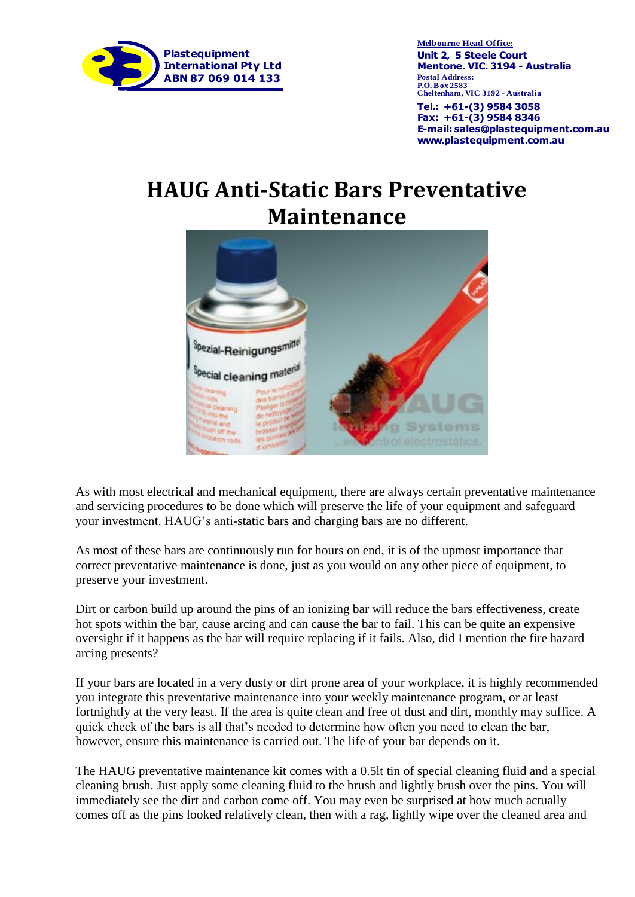

**P.O. Box 2583 Cheltenham, VIC 3192 - Australia Unit 2, 5 Steele Court Mentone. VIC. 3194 - Australia Melbourne Head Office:**

**E-mail: sales@plastequipment.com.au www.plastequipment.com.au Tel.: +61-(3) 9584 3058 Fax: +61-(3) 9584 8346**

## **HAUG Anti-Static Bars Preventative Maintenance**



As with most electrical and mechanical equipment, there are always certain preventative maintenance and servicing procedures to be done which will preserve the life of your equipment and safeguard your investment. HAUG's anti-static bars and charging bars are no different.

As most of these bars are continuously run for hours on end, it is of the upmost importance that correct preventative maintenance is done, just as you would on any other piece of equipment, to preserve your investment.

Dirt or carbon build up around the pins of an ionizing bar will reduce the bars effectiveness, create hot spots within the bar, cause arcing and can cause the bar to fail. This can be quite an expensive oversight if it happens as the bar will require replacing if it fails. Also, did I mention the fire hazard arcing presents?

If your bars are located in a very dusty or dirt prone area of your workplace, it is highly recommended you integrate this preventative maintenance into your weekly maintenance program, or at least fortnightly at the very least. If the area is quite clean and free of dust and dirt, monthly may suffice. A quick check of the bars is all that's needed to determine how often you need to clean the bar, however, ensure this maintenance is carried out. The life of your bar depends on it.

The HAUG preventative maintenance kit comes with a 0.5lt tin of special cleaning fluid and a special cleaning brush. Just apply some cleaning fluid to the brush and lightly brush over the pins. You will immediately see the dirt and carbon come off. You may even be surprised at how much actually comes off as the pins looked relatively clean, then with a rag, lightly wipe over the cleaned area and